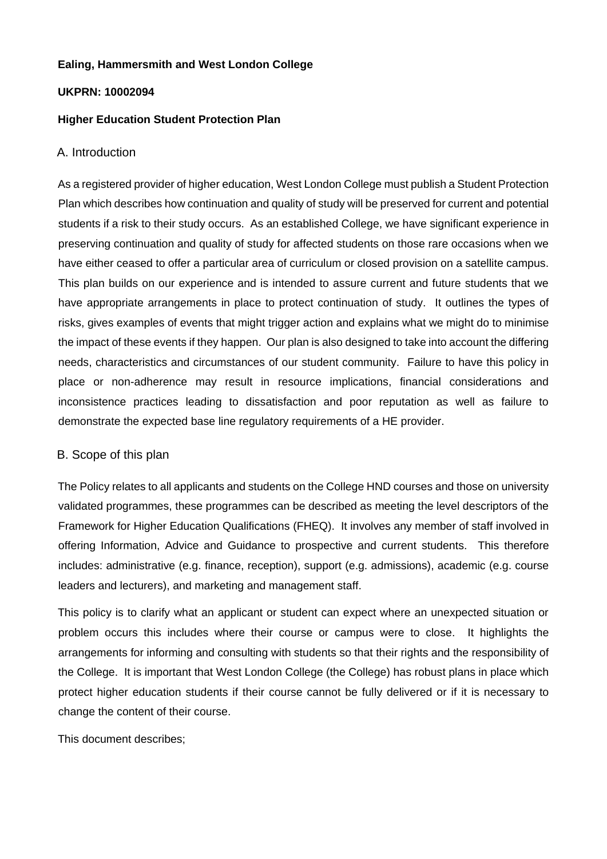# **Ealing, Hammersmith and West London College**

#### **UKPRN: 10002094**

### **Higher Education Student Protection Plan**

#### A. Introduction

As a registered provider of higher education, West London College must publish a Student Protection Plan which describes how continuation and quality of study will be preserved for current and potential students if a risk to their study occurs. As an established College, we have significant experience in preserving continuation and quality of study for affected students on those rare occasions when we have either ceased to offer a particular area of curriculum or closed provision on a satellite campus. This plan builds on our experience and is intended to assure current and future students that we have appropriate arrangements in place to protect continuation of study. It outlines the types of risks, gives examples of events that might trigger action and explains what we might do to minimise the impact of these events if they happen. Our plan is also designed to take into account the differing needs, characteristics and circumstances of our student community. Failure to have this policy in place or non-adherence may result in resource implications, financial considerations and inconsistence practices leading to dissatisfaction and poor reputation as well as failure to demonstrate the expected base line regulatory requirements of a HE provider.

# B. Scope of this plan

The Policy relates to all applicants and students on the College HND courses and those on university validated programmes, these programmes can be described as meeting the level descriptors of the Framework for Higher Education Qualifications (FHEQ). It involves any member of staff involved in offering Information, Advice and Guidance to prospective and current students. This therefore includes: administrative (e.g. finance, reception), support (e.g. admissions), academic (e.g. course leaders and lecturers), and marketing and management staff.

This policy is to clarify what an applicant or student can expect where an unexpected situation or problem occurs this includes where their course or campus were to close. It highlights the arrangements for informing and consulting with students so that their rights and the responsibility of the College. It is important that West London College (the College) has robust plans in place which protect higher education students if their course cannot be fully delivered or if it is necessary to change the content of their course.

This document describes;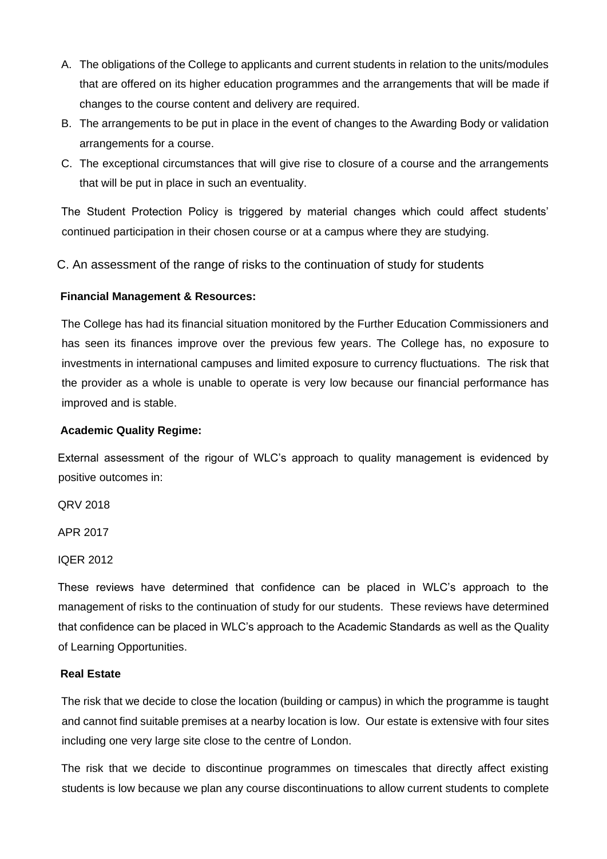- A. The obligations of the College to applicants and current students in relation to the units/modules that are offered on its higher education programmes and the arrangements that will be made if changes to the course content and delivery are required.
- B. The arrangements to be put in place in the event of changes to the Awarding Body or validation arrangements for a course.
- C. The exceptional circumstances that will give rise to closure of a course and the arrangements that will be put in place in such an eventuality.

The Student Protection Policy is triggered by material changes which could affect students' continued participation in their chosen course or at a campus where they are studying.

C. An assessment of the range of risks to the continuation of study for students

# **Financial Management & Resources:**

The College has had its financial situation monitored by the Further Education Commissioners and has seen its finances improve over the previous few years. The College has, no exposure to investments in international campuses and limited exposure to currency fluctuations. The risk that the provider as a whole is unable to operate is very low because our financial performance has improved and is stable.

# **Academic Quality Regime:**

External assessment of the rigour of WLC's approach to quality management is evidenced by positive outcomes in:

QRV 2018

APR 2017

IQER 2012

These reviews have determined that confidence can be placed in WLC's approach to the management of risks to the continuation of study for our students. These reviews have determined that confidence can be placed in WLC's approach to the Academic Standards as well as the Quality of Learning Opportunities.

# **Real Estate**

The risk that we decide to close the location (building or campus) in which the programme is taught and cannot find suitable premises at a nearby location is low. Our estate is extensive with four sites including one very large site close to the centre of London.

The risk that we decide to discontinue programmes on timescales that directly affect existing students is low because we plan any course discontinuations to allow current students to complete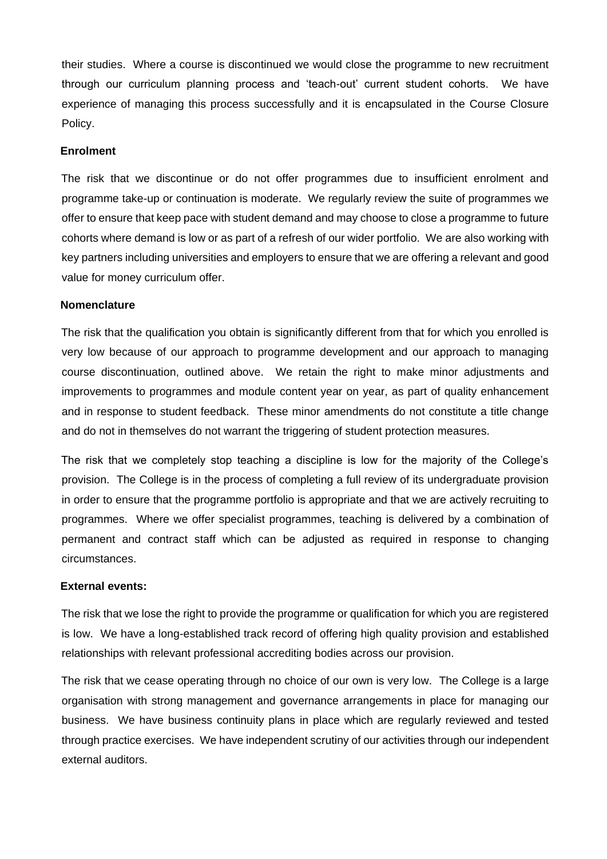their studies. Where a course is discontinued we would close the programme to new recruitment through our curriculum planning process and 'teach-out' current student cohorts. We have experience of managing this process successfully and it is encapsulated in the Course Closure Policy.

### **Enrolment**

The risk that we discontinue or do not offer programmes due to insufficient enrolment and programme take-up or continuation is moderate. We regularly review the suite of programmes we offer to ensure that keep pace with student demand and may choose to close a programme to future cohorts where demand is low or as part of a refresh of our wider portfolio. We are also working with key partners including universities and employers to ensure that we are offering a relevant and good value for money curriculum offer.

#### **Nomenclature**

The risk that the qualification you obtain is significantly different from that for which you enrolled is very low because of our approach to programme development and our approach to managing course discontinuation, outlined above. We retain the right to make minor adjustments and improvements to programmes and module content year on year, as part of quality enhancement and in response to student feedback. These minor amendments do not constitute a title change and do not in themselves do not warrant the triggering of student protection measures.

The risk that we completely stop teaching a discipline is low for the majority of the College's provision. The College is in the process of completing a full review of its undergraduate provision in order to ensure that the programme portfolio is appropriate and that we are actively recruiting to programmes. Where we offer specialist programmes, teaching is delivered by a combination of permanent and contract staff which can be adjusted as required in response to changing circumstances.

# **External events:**

The risk that we lose the right to provide the programme or qualification for which you are registered is low. We have a long-established track record of offering high quality provision and established relationships with relevant professional accrediting bodies across our provision.

The risk that we cease operating through no choice of our own is very low. The College is a large organisation with strong management and governance arrangements in place for managing our business. We have business continuity plans in place which are regularly reviewed and tested through practice exercises. We have independent scrutiny of our activities through our independent external auditors.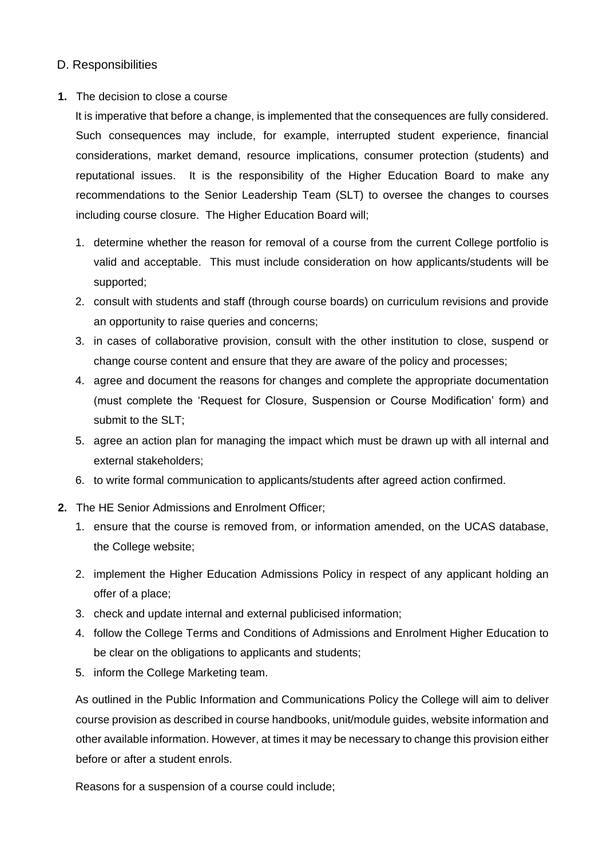# D. Responsibilities

# **1.** The decision to close a course

It is imperative that before a change, is implemented that the consequences are fully considered. Such consequences may include, for example, interrupted student experience, financial considerations, market demand, resource implications, consumer protection (students) and reputational issues. It is the responsibility of the Higher Education Board to make any recommendations to the Senior Leadership Team (SLT) to oversee the changes to courses including course closure. The Higher Education Board will;

- 1. determine whether the reason for removal of a course from the current College portfolio is valid and acceptable. This must include consideration on how applicants/students will be supported;
- 2. consult with students and staff (through course boards) on curriculum revisions and provide an opportunity to raise queries and concerns;
- 3. in cases of collaborative provision, consult with the other institution to close, suspend or change course content and ensure that they are aware of the policy and processes;
- 4. agree and document the reasons for changes and complete the appropriate documentation (must complete the 'Request for Closure, Suspension or Course Modification' form) and submit to the SLT;
- 5. agree an action plan for managing the impact which must be drawn up with all internal and external stakeholders;
- 6. to write formal communication to applicants/students after agreed action confirmed.
- **2.** The HE Senior Admissions and Enrolment Officer;
	- 1. ensure that the course is removed from, or information amended, on the UCAS database, the College website;
	- 2. implement the Higher Education Admissions Policy in respect of any applicant holding an offer of a place;
	- 3. check and update internal and external publicised information;
	- 4. follow the College Terms and Conditions of Admissions and Enrolment Higher Education to be clear on the obligations to applicants and students;
	- 5. inform the College Marketing team.

As outlined in the Public Information and Communications Policy the College will aim to deliver course provision as described in course handbooks, unit/module guides, website information and other available information. However, at times it may be necessary to change this provision either before or after a student enrols.

Reasons for a suspension of a course could include;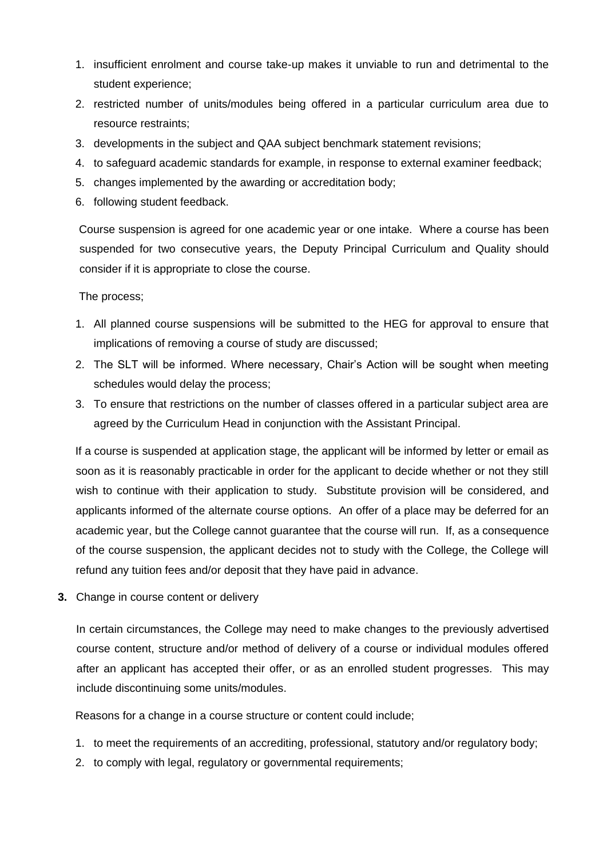- 1. insufficient enrolment and course take-up makes it unviable to run and detrimental to the student experience;
- 2. restricted number of units/modules being offered in a particular curriculum area due to resource restraints;
- 3. developments in the subject and QAA subject benchmark statement revisions;
- 4. to safeguard academic standards for example, in response to external examiner feedback;
- 5. changes implemented by the awarding or accreditation body;
- 6. following student feedback.

Course suspension is agreed for one academic year or one intake. Where a course has been suspended for two consecutive years, the Deputy Principal Curriculum and Quality should consider if it is appropriate to close the course.

The process;

- 1. All planned course suspensions will be submitted to the HEG for approval to ensure that implications of removing a course of study are discussed;
- 2. The SLT will be informed. Where necessary, Chair's Action will be sought when meeting schedules would delay the process;
- 3. To ensure that restrictions on the number of classes offered in a particular subject area are agreed by the Curriculum Head in conjunction with the Assistant Principal.

If a course is suspended at application stage, the applicant will be informed by letter or email as soon as it is reasonably practicable in order for the applicant to decide whether or not they still wish to continue with their application to study. Substitute provision will be considered, and applicants informed of the alternate course options. An offer of a place may be deferred for an academic year, but the College cannot guarantee that the course will run. If, as a consequence of the course suspension, the applicant decides not to study with the College, the College will refund any tuition fees and/or deposit that they have paid in advance.

**3.** Change in course content or delivery

In certain circumstances, the College may need to make changes to the previously advertised course content, structure and/or method of delivery of a course or individual modules offered after an applicant has accepted their offer, or as an enrolled student progresses. This may include discontinuing some units/modules.

Reasons for a change in a course structure or content could include;

- 1. to meet the requirements of an accrediting, professional, statutory and/or regulatory body;
- 2. to comply with legal, regulatory or governmental requirements;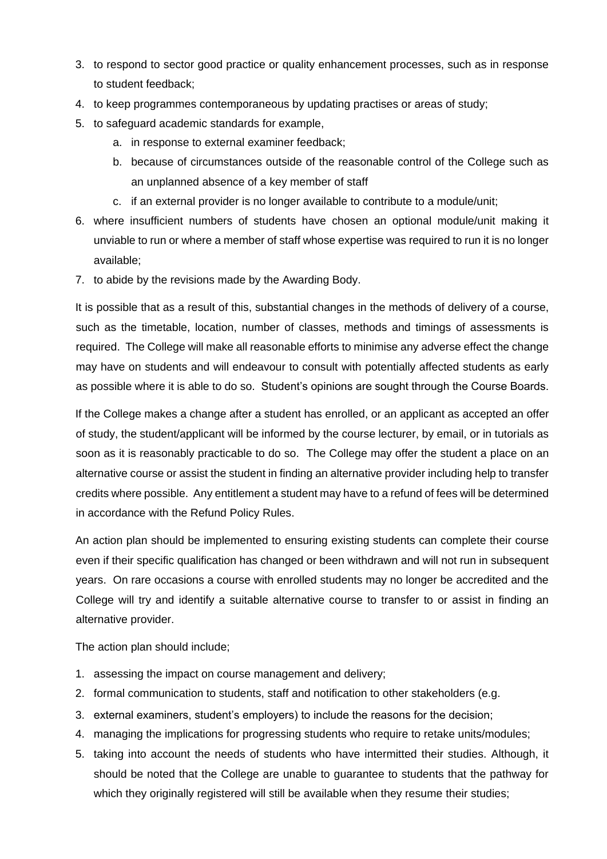- 3. to respond to sector good practice or quality enhancement processes, such as in response to student feedback;
- 4. to keep programmes contemporaneous by updating practises or areas of study;
- 5. to safeguard academic standards for example,
	- a. in response to external examiner feedback;
	- b. because of circumstances outside of the reasonable control of the College such as an unplanned absence of a key member of staff
	- c. if an external provider is no longer available to contribute to a module/unit;
- 6. where insufficient numbers of students have chosen an optional module/unit making it unviable to run or where a member of staff whose expertise was required to run it is no longer available;
- 7. to abide by the revisions made by the Awarding Body.

It is possible that as a result of this, substantial changes in the methods of delivery of a course, such as the timetable, location, number of classes, methods and timings of assessments is required. The College will make all reasonable efforts to minimise any adverse effect the change may have on students and will endeavour to consult with potentially affected students as early as possible where it is able to do so. Student's opinions are sought through the Course Boards.

If the College makes a change after a student has enrolled, or an applicant as accepted an offer of study, the student/applicant will be informed by the course lecturer, by email, or in tutorials as soon as it is reasonably practicable to do so. The College may offer the student a place on an alternative course or assist the student in finding an alternative provider including help to transfer credits where possible. Any entitlement a student may have to a refund of fees will be determined in accordance with the Refund Policy Rules.

An action plan should be implemented to ensuring existing students can complete their course even if their specific qualification has changed or been withdrawn and will not run in subsequent years. On rare occasions a course with enrolled students may no longer be accredited and the College will try and identify a suitable alternative course to transfer to or assist in finding an alternative provider.

The action plan should include;

- 1. assessing the impact on course management and delivery;
- 2. formal communication to students, staff and notification to other stakeholders (e.g.
- 3. external examiners, student's employers) to include the reasons for the decision;
- 4. managing the implications for progressing students who require to retake units/modules;
- 5. taking into account the needs of students who have intermitted their studies. Although, it should be noted that the College are unable to guarantee to students that the pathway for which they originally registered will still be available when they resume their studies;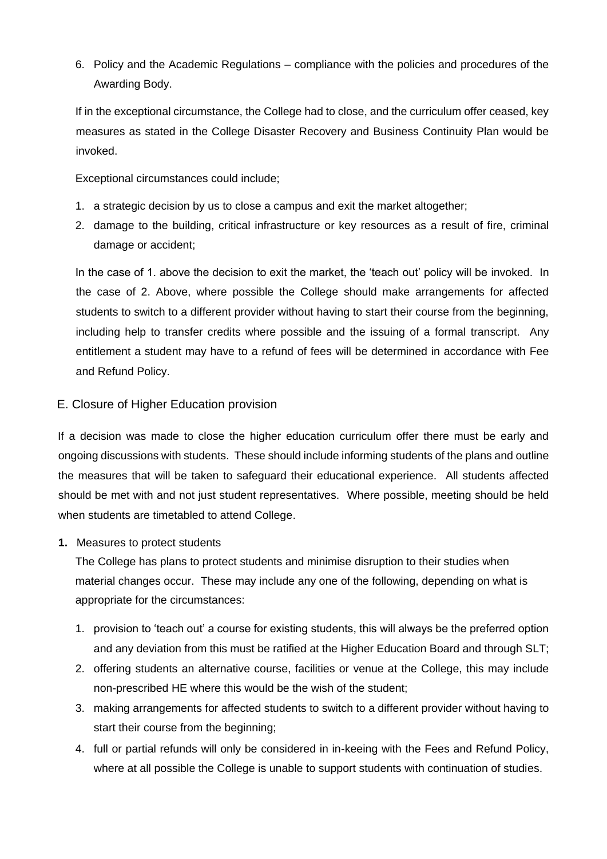6. Policy and the Academic Regulations – compliance with the policies and procedures of the Awarding Body.

If in the exceptional circumstance, the College had to close, and the curriculum offer ceased, key measures as stated in the College Disaster Recovery and Business Continuity Plan would be invoked.

Exceptional circumstances could include;

- 1. a strategic decision by us to close a campus and exit the market altogether;
- 2. damage to the building, critical infrastructure or key resources as a result of fire, criminal damage or accident;

In the case of 1. above the decision to exit the market, the 'teach out' policy will be invoked. In the case of 2. Above, where possible the College should make arrangements for affected students to switch to a different provider without having to start their course from the beginning, including help to transfer credits where possible and the issuing of a formal transcript. Any entitlement a student may have to a refund of fees will be determined in accordance with Fee and Refund Policy.

# E. Closure of Higher Education provision

If a decision was made to close the higher education curriculum offer there must be early and ongoing discussions with students. These should include informing students of the plans and outline the measures that will be taken to safeguard their educational experience. All students affected should be met with and not just student representatives. Where possible, meeting should be held when students are timetabled to attend College.

# **1.** Measures to protect students

The College has plans to protect students and minimise disruption to their studies when material changes occur. These may include any one of the following, depending on what is appropriate for the circumstances:

- 1. provision to 'teach out' a course for existing students, this will always be the preferred option and any deviation from this must be ratified at the Higher Education Board and through SLT;
- 2. offering students an alternative course, facilities or venue at the College, this may include non-prescribed HE where this would be the wish of the student;
- 3. making arrangements for affected students to switch to a different provider without having to start their course from the beginning;
- 4. full or partial refunds will only be considered in in-keeing with the Fees and Refund Policy, where at all possible the College is unable to support students with continuation of studies.